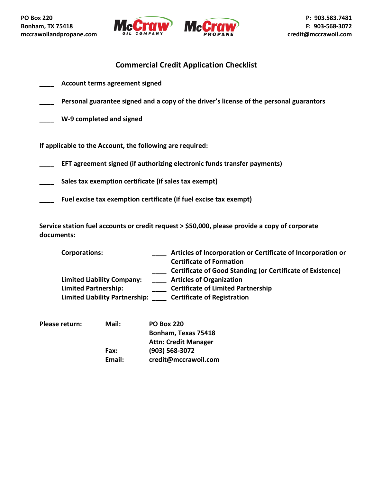



# **Commercial Credit Application Checklist**

- **\_\_\_\_ Account terms agreement signed**
- **\_\_\_\_ Personal guarantee signed and a copy of the driver's license of the personal guarantors**
- **\_\_\_\_ W-9 completed and signed**

**If applicable to the Account, the following are required:**

**\_\_\_\_ EFT agreement signed (if authorizing electronic funds transfer payments)**

**\_\_\_\_ Sales tax exemption certificate (if sales tax exempt)**

**\_\_\_\_ Fuel excise tax exemption certificate (if fuel excise tax exempt)**

**Service station fuel accounts or credit request > \$50,000, please provide a copy of corporate documents:**

**Corporations: \_\_\_\_ Articles of Incorporation or Certificate of Incorporation or Certificate of Formation \_\_\_\_ Certificate of Good Standing (or Certificate of Existence) Limited Liability Company: \_\_\_\_ Articles of Organization Limited Partnership: \_\_\_\_ Certificate of Limited Partnership Limited Liability Partnership: \_\_\_\_ Certificate of Registration**

| Please return: | Mail:  | <b>PO Box 220</b>           |
|----------------|--------|-----------------------------|
|                |        | Bonham, Texas 75418         |
|                |        | <b>Attn: Credit Manager</b> |
|                | Fax:   | (903) 568-3072              |
|                | Email: | credit@mccrawoil.com        |
|                |        |                             |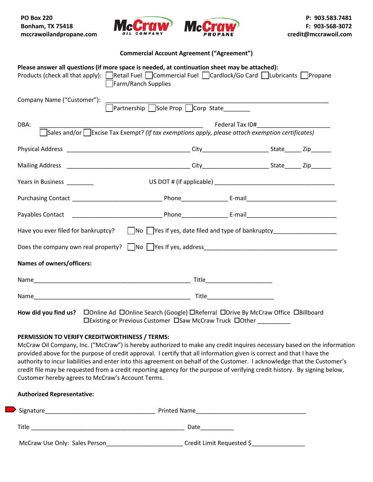**PO Box 220 Bonham, TX 75418 mccrawoilandpropane.com** 





## **Commercial Account Agreement ("Agreement")**

| Please answer all questions (if more space is needed, at continuation sheet may be attached):<br>Products (check all that apply): Retail Fuel Commercial Fuel Cardlock/Go Card CLubricants Propane | Farm/Ranch Supplies                                                                                    |                               |  |
|----------------------------------------------------------------------------------------------------------------------------------------------------------------------------------------------------|--------------------------------------------------------------------------------------------------------|-------------------------------|--|
| Company Name ("Customer"):                                                                                                                                                                         | □<br>Partnership □Sole Prop □ Corp State_________                                                      |                               |  |
| DBA:                                                                                                                                                                                               | Sales and/or $\Box$ Excise Tax Exempt? (If tax exemptions apply, please attach exemption certificates) |                               |  |
|                                                                                                                                                                                                    |                                                                                                        |                               |  |
|                                                                                                                                                                                                    |                                                                                                        |                               |  |
| Years in Business ________                                                                                                                                                                         |                                                                                                        |                               |  |
|                                                                                                                                                                                                    |                                                                                                        |                               |  |
|                                                                                                                                                                                                    |                                                                                                        |                               |  |
| Have you ever filed for bankruptcy?     No   Yes If yes, date filed and type of bankruptcy _______________                                                                                         |                                                                                                        |                               |  |
|                                                                                                                                                                                                    |                                                                                                        |                               |  |
| Names of owners/officers:                                                                                                                                                                          |                                                                                                        |                               |  |
|                                                                                                                                                                                                    |                                                                                                        |                               |  |
|                                                                                                                                                                                                    |                                                                                                        | Title________________________ |  |
|                                                                                                                                                                                                    |                                                                                                        |                               |  |

Existing or Previous Customer Saw McCraw Truck Other \_\_\_\_\_\_\_\_\_\_

# **PERMISSION TO VERIFY CREDITWORTHINESS / TERMS:**

McCraw Oil Company, Inc. ("McCraw") is hereby authorized to make any credit inquires necessary based on the information provided above for the purpose of credit approval. I certify that all information given is correct and that I have the authority to incur liabilities and enter into this agreement on behalf of the Customer. I acknowledge that the Customer's credit file may be requested from a credit reporting agency for the purpose of verifying credit history. By signing below, Customer hereby agrees to McCraw's Account Terms.

| <b>Authorized Representative:</b>                                      |                           |
|------------------------------------------------------------------------|---------------------------|
| Signature<br><u> 1989 - Johann John Stone, mensk politik (d. 1989)</u> |                           |
| Title                                                                  | Date                      |
| McCraw Use Only: Sales Person                                          | Credit Limit Requested \$ |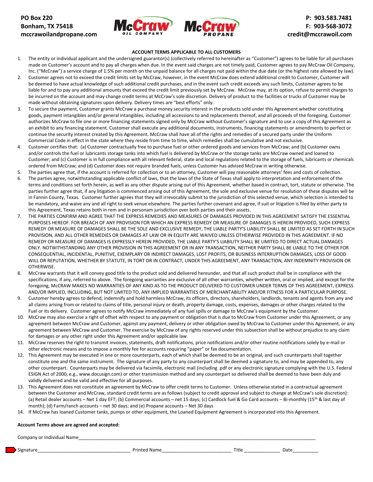



#### **ACCOUNT TERMS APPLICABLE TO ALL CUSTOMERS**

- 1. The entity or individual applicant and the undersigned guarantor(s) (collectively referred to hereinafter as "Customer") agrees to be liable for all purchases made on Customer's account and to pay all charges when due. In the event said charges are not timely paid, Customer agrees to pay McCraw Oil Company, Inc. ("McCraw") a service charge of 1.5% per month on the unpaid balance for all charges not paid within the due date (or the highest rate allowed by law).
- 2. Customer agrees not to exceed the credit limits set by McCraw, however, in the event McCraw does extend additional credit to Customer, Customer will be deemed to have actual knowledge of such additional credit purchases, and in the event such credit exceeds any such limits, Customer agrees to be liable for and to pay any additional amounts that exceed the credit limit previously set by McCraw. McCraw may, at its option, refuse to permit charges to be incurred on the account and may change credit terms at McCraw's sole discretion. Delivery of product to the facilities or trucks of Customer may be made without obtaining signatures upon delivery. Delivery times are "best efforts" only.
- 3. To secure the payment, Customer grants McCraw a purchase money security interest in the products sold under this Agreement whether constituting goods, payment intangibles and/or general intangibles, including all accessions to and replacements thereof, and all proceeds of the foregoing. Customer authorizes McCraw to file one or more financing statements signed only by McCraw without Customer's signature and to use a copy of this Agreement as an exhibit to any financing statement. Customer shall execute any additional documents, instruments, financing statements or amendments to perfect or continue the security interest created by this Agreement. McCraw shall have all of the rights and remedies of a secured party under the Uniform Commercial Code in effect in the state where they reside from time to time, which remedies shall be cumulative and not exclusive.
- 4. Customer certifies that: (a) Customer contractually free to purchase fuel or other ordered goods and services from McCraw; and (b) Customer owns and/or controls the fuel or lubricants storage tanks into which fuel is delivered by McCraw or the storage tanks are McCraw owned and loaned to Customer; and (c) Customer is in full compliance with all relevant federal, state and local regulations related to the storage of fuels, lubricants or chemicals ordered from McCraw; and (d) Customer does not require branded fuels, unless Customer has advised McCraw in writing otherwise.
- 5. The parties agree that, if the account is referred for collection or to an attorney, Customer will pay reasonable attorneys' fees and costs of collection.
- 6. The parties agree, notwithstanding applicable conflict of laws, that the laws of the State of Texas shall apply to interpretation and enforcement of the terms and conditions set forth herein, as well as any other dispute arising out of this Agreement, whether based in contract, tort, statute or otherwise. The parties further agree that, if any litigation is commenced arising out of this Agreement, the sole and exclusive venue for resolution of these disputes will be in Fannin County, Texas. Customer further agrees that they will irrevocably submit to the jurisdiction of this selected venue, which selection is intended to be mandatory, and waive any and all right to seek venue elsewhere. The parties further covenant and agree, if suit or litigation is filed by either party to this Agreement, Texas retains both in rem and in personam jurisdiction over both parties and their assets.
- 7. THE PARTIES CONFIRM AND AGREE THAT THE EXPRESS REMEDIES AND MEASURES OF DAMAGES PROVIDED IN THIS AGREEMENT SATISFY THE ESSENTIAL PURPOSES HEREOF. FOR BREACH OF ANY PROVISION FOR WHICH AN EXPRESS REMEDY OR MEASURE OF DAMAGES IS HEREIN PROVIDED, SUCH EXPRESS REMEDY OR MEASURE OF DAMAGES SHALL BE THE SOLE AND EXCLUSIVE REMEDY, THE LIABLE PARTY'S LIABILITY SHALL BE LIMITED AS SET FORTH IN SUCH PROVISION, AND ALL OTHER REMEDIES OR DAMAGES AT LAW OR IN EQUITY ARE WAIVED UNLESS OTHERWISE PROVIDED IN THIS AGREEMENT. IF NO REMEDY OR MEASURE OF DAMAGES IS EXPRESSLY HEREIN PROVIDED, THE LIABLE PARTY'S LIABILITY SHALL BE LIMITED TO DIRECT ACTUAL DAMAGES ONLY. NOTWITHSTANDING ANY OTHER PROVISION IN THIS AGREEMENT OR IN ANY TRANSACTION, NEITHER PARTY SHALL BE LIABLE TO THE OTHER FOR CONSEQUENTIAL, INCIDENTAL, PUNITIVE, EXEMPLARY OR INDIRECT DAMAGES, LOST PROFITS, OR BUSINESS INTERRUPTION DAMAGES, LOSS OF GOOD WILL OR REPUTATION, WHETHER BY STATUTE, IN TORT OR IN CONTRACT, UNDER THIS AGREEMENT, ANY TRANSACTION, ANY INDEMNITY PROVISION OR OTHERWISE.
- 8. McCraw warrants that it will convey good title to the product sold and delivered hereunder, and that all such product shall be in compliance with the specifications, if any, referred to above. The foregoing warranties are exclusive of all other warranties, whether written, oral or implied, and except for the foregoing, McCRAW MAKES NO WARRANTIES OF ANY KIND AS TO THE PRODUCT DELIVERED TO CUSTOMER UNDER TERMS OF THIS AGREEMENT, EXPRESS AND/OR IMPLIED, INCLUDING, BUT NOT LIMITED TO, ANY IMPLIED WARRANTIES OF MERCHANTABILITY AND/OR FITNESS FOR A PARTICULAR PURPOSE.
- 9. Customer hereby agrees to defend, indemnify and hold harmless McCraw, its officers, directors, shareholders, landlords, tenants and agents from any and all claims arising from or related to claims of title, personal injury or death, property damage, costs, expenses, damages or other charges related to the Fuel or its delivery. Customer agrees to notify McCraw immediately of any fuel spills or damage to McCraw's equipment by the Customer.
- 10. McCraw may also exercise a right of offset with respect to any payment or obligation that is due to McCraw from Customer under this Agreement, or any agreement between McCraw and Customer, against any payment, delivery or other obligation owed by McCraw to Customer under this Agreement, or any agreement between McCraw and Customer. The exercise by McCraw of any rights reserved under this subsection shall be without prejudice to any claim for damages or any other right under this Agreement and/or applicable law.
- 11. McCraw reserves the right to transmit invoices, statements, draft notifications, price notifications and/or other routine notifications solely by e-mail or other electronic means and to impose a monthly fee for accounts requiring "paper" or fax documentation.
- 12. This Agreement may be executed in one or more counterparts, each of which shall be deemed to be an original, and such counterparts shall together constitute one and the same instrument. The signature of any party to any counterpart shall be deemed a signature to, and may be appended to, any other counterpart. Counterparts may be delivered via facsimile, electronic mail (including .pdf or any electronic signature complying with the U.S. Federal ESIGN Act of 2000, e.g., www.docusign.com) or other transmission method and any counterpart so delivered shall be deemed to have been duly and validly delivered and be valid and effective for all purposes.
- 13. This Agreement does not constitute an agreement by McCraw to offer credit terms to Customer. Unless otherwise stated in a contractual agreement between the Customer and McCraw, standard credit terms are as follows (subject to credit approval and subject to change at McCraw's sole discretion): (a) Retail dealer accounts – Net 1 day EFT; (b) Commercial accounts – net 15 days; (c) Cardlock fuel & Go Card accounts – Bi-monthly (15<sup>th</sup> & last day of month); (d) Farm/ranch accounts – net 30 days; and (e) Propane accounts – Net 30 days
- 14. If McCraw has loaned Customer tanks, pumps or other equipment, the Loaned Equipment Agreement is incorporated into this Agreement.

#### **Account Terms above are agreed and accepted:**

Company or Individual Name

Signature\_\_\_\_\_\_\_\_\_\_\_\_\_\_\_\_\_\_\_\_\_\_\_\_\_\_\_\_\_\_\_\_\_\_\_\_ Printed Name\_\_\_\_\_\_\_\_\_\_\_\_\_\_\_\_\_\_\_\_\_\_\_\_\_\_\_ Title \_\_\_\_\_\_\_\_\_\_\_\_\_\_ Date\_\_\_\_\_\_\_\_\_\_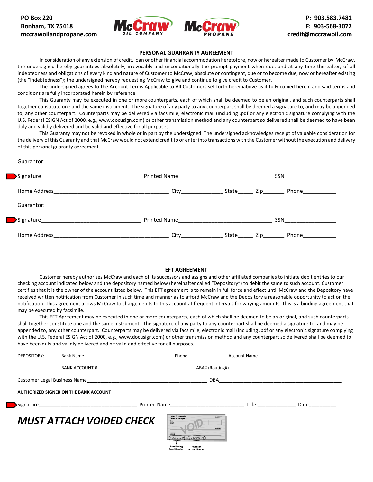



#### **PERSONAL GUARRANTY AGREEMENT**

In consideration of any extension of credit, loan or other financial accommodation heretofore, now or hereafter made to Customer by McCraw, the undersigned hereby guarantees absolutely, irrevocably and unconditionally the prompt payment when due, and at any time thereafter, of all indebtedness and obligations of every kind and nature of Customer to McCraw, absolute or contingent, due or to become due, now or hereafter existing (the "Indebtedness"); the undersigned hereby requesting McCraw to give and continue to give credit to Customer.

The undersigned agrees to the Account Terms Applicable to All Customers set forth hereinabove as if fully copied herein and said terms and conditions are fully incorporated herein by reference.

This Guaranty may be executed in one or more counterparts, each of which shall be deemed to be an original, and such counterparts shall together constitute one and the same instrument. The signature of any party to any counterpart shall be deemed a signature to, and may be appended to, any other counterpart. Counterparts may be delivered via facsimile, electronic mail (including .pdf or any electronic signature complying with the U.S. Federal ESIGN Act of 2000, e.g., www.docusign.com) or other transmission method and any counterpart so delivered shall be deemed to have been duly and validly delivered and be valid and effective for all purposes.

This Guaranty may not be revoked in whole or in part by the undersigned. The undersigned acknowledges receipt of valuable consideration for the delivery of this Guaranty and that McCraw would not extend credit to or enter into transactions with the Customer without the execution and delivery of this personal guaranty agreement.

Guarantor:

| Signature_   | Printed Name and the control of the control of the control of the control of the control of the control of the | SSN                   |  |  |
|--------------|----------------------------------------------------------------------------------------------------------------|-----------------------|--|--|
| Home Address | City                                                                                                           | Phone<br>State<br>Zip |  |  |
| Guarantor:   |                                                                                                                |                       |  |  |
| Signature    | <b>Printed Name</b>                                                                                            | <b>SSN</b>            |  |  |
| Home Address | City                                                                                                           | Phone<br>State<br>Zip |  |  |

#### **EFT AGREEMENT**

Customer hereby authorizes McCraw and each of its successors and assigns and other affiliated companies to initiate debit entries to our checking account indicated below and the depository named below (hereinafter called "Depository") to debit the same to such account. Customer certifies that it is the owner of the account listed below. This EFT agreement is to remain in full force and effect until McCraw and the Depository have received written notification from Customer in such time and manner as to afford McCraw and the Depository a reasonable opportunity to act on the notification. This agreement allows McCraw to charge debits to this account at frequent intervals for varying amounts. This is a binding agreement that may be executed by facsimile.

This EFT Agreement may be executed in one or more counterparts, each of which shall be deemed to be an original, and such counterparts shall together constitute one and the same instrument. The signature of any party to any counterpart shall be deemed a signature to, and may be appended to, any other counterpart. Counterparts may be delivered via facsimile, electronic mail (including .pdf or any electronic signature complying with the U.S. Federal ESIGN Act of 2000, e.g., www.docusign.com) or other transmission method and any counterpart so delivered shall be deemed to have been duly and validly delivered and be valid and effective for all purposes.

| DEPOSITORY: | Bank Name and the state of the state of the state of the state of the state of the state of the state of the state of the state of the state of the state of the state of the state of the state of the state of the state of |                                                                    | Phone                                                                                                                                                      |              | Account Name and the contract of the contract of the contract of the contract of the contract of the contract of the contract of the contract of the contract of the contract of the contract of the contract of the contract |
|-------------|-------------------------------------------------------------------------------------------------------------------------------------------------------------------------------------------------------------------------------|--------------------------------------------------------------------|------------------------------------------------------------------------------------------------------------------------------------------------------------|--------------|-------------------------------------------------------------------------------------------------------------------------------------------------------------------------------------------------------------------------------|
|             | BANK ACCOUNT #                                                                                                                                                                                                                |                                                                    |                                                                                                                                                            |              |                                                                                                                                                                                                                               |
|             | Customer Legal Business Name                                                                                                                                                                                                  |                                                                    | DBA                                                                                                                                                        |              |                                                                                                                                                                                                                               |
|             | AUTHORIZED SIGNER ON THE BANK ACCOUNT                                                                                                                                                                                         |                                                                    |                                                                                                                                                            |              |                                                                                                                                                                                                                               |
|             | Signature and the state of the state of the state of the state of the state of the state of the state of the state of the state of the state of the state of the state of the state of the state of the state of the state of |                                                                    | Printed Name <b>Example 20</b>                                                                                                                             | <b>Title</b> | Date                                                                                                                                                                                                                          |
|             | <b>MUST ATTACH VOIDED CHECK</b>                                                                                                                                                                                               | $\frac{\hbar v_{\text{obs}}}{\hbar v_{\text{obs}}}$<br><b>MEMO</b> | John Q. Sample<br>Jane A. Sample<br>34567<br><b>DOLLARS</b><br>PPBP00E55 (PT aLELES)<br><b>Your Bank</b><br><b>Transit Number</b><br><b>Account Number</b> |              |                                                                                                                                                                                                                               |